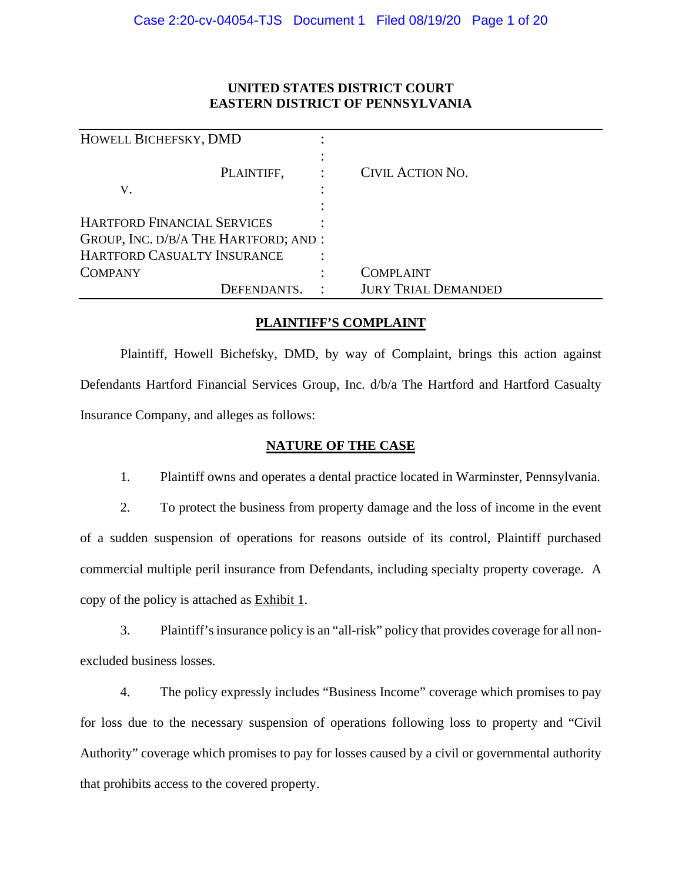# **UNITED STATES DISTRICT COURT EASTERN DISTRICT OF PENNSYLVANIA**

| HOWELL BICHEFSKY, DMD                 |                            |
|---------------------------------------|----------------------------|
| PLAINTIFF,                            | <b>CIVIL ACTION NO.</b>    |
| V.                                    |                            |
|                                       |                            |
| <b>HARTFORD FINANCIAL SERVICES</b>    |                            |
| GROUP, INC. D/B/A THE HARTFORD; AND : |                            |
| HARTFORD CASUALTY INSURANCE           |                            |
| <b>COMPANY</b>                        | COMPLAINT                  |
| DEFENDANTS.                           | <b>JURY TRIAL DEMANDED</b> |

# **PLAINTIFF'S COMPLAINT**

Plaintiff, Howell Bichefsky, DMD, by way of Complaint, brings this action against Defendants Hartford Financial Services Group, Inc. d/b/a The Hartford and Hartford Casualty Insurance Company, and alleges as follows:

# **NATURE OF THE CASE**

1. Plaintiff owns and operates a dental practice located in Warminster, Pennsylvania.

2. To protect the business from property damage and the loss of income in the event of a sudden suspension of operations for reasons outside of its control, Plaintiff purchased commercial multiple peril insurance from Defendants, including specialty property coverage. A copy of the policy is attached as Exhibit 1.

3. Plaintiff's insurance policy is an "all-risk" policy that provides coverage for all nonexcluded business losses.

4. The policy expressly includes "Business Income" coverage which promises to pay for loss due to the necessary suspension of operations following loss to property and "Civil Authority" coverage which promises to pay for losses caused by a civil or governmental authority that prohibits access to the covered property.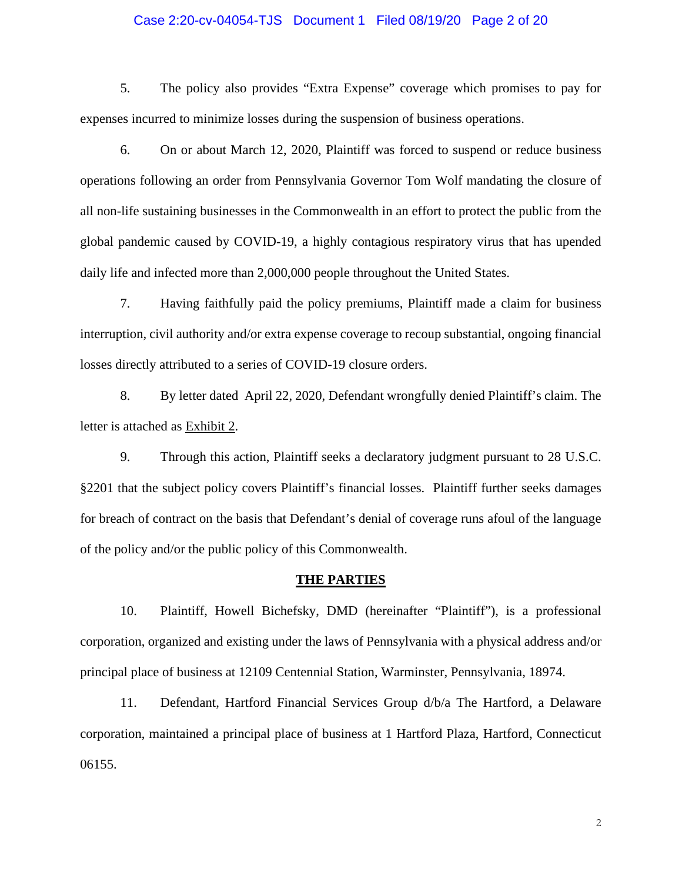## Case 2:20-cv-04054-TJS Document 1 Filed 08/19/20 Page 2 of 20

5. The policy also provides "Extra Expense" coverage which promises to pay for expenses incurred to minimize losses during the suspension of business operations.

6. On or about March 12, 2020, Plaintiff was forced to suspend or reduce business operations following an order from Pennsylvania Governor Tom Wolf mandating the closure of all non-life sustaining businesses in the Commonwealth in an effort to protect the public from the global pandemic caused by COVID-19, a highly contagious respiratory virus that has upended daily life and infected more than 2,000,000 people throughout the United States.

7. Having faithfully paid the policy premiums, Plaintiff made a claim for business interruption, civil authority and/or extra expense coverage to recoup substantial, ongoing financial losses directly attributed to a series of COVID-19 closure orders.

8. By letter dated April 22, 2020, Defendant wrongfully denied Plaintiff's claim. The letter is attached as Exhibit 2.

9. Through this action, Plaintiff seeks a declaratory judgment pursuant to 28 U.S.C. §2201 that the subject policy covers Plaintiff's financial losses. Plaintiff further seeks damages for breach of contract on the basis that Defendant's denial of coverage runs afoul of the language of the policy and/or the public policy of this Commonwealth.

#### **THE PARTIES**

10. Plaintiff, Howell Bichefsky, DMD (hereinafter "Plaintiff"), is a professional corporation, organized and existing under the laws of Pennsylvania with a physical address and/or principal place of business at 12109 Centennial Station, Warminster, Pennsylvania, 18974.

11. Defendant, Hartford Financial Services Group d/b/a The Hartford, a Delaware corporation, maintained a principal place of business at 1 Hartford Plaza, Hartford, Connecticut 06155.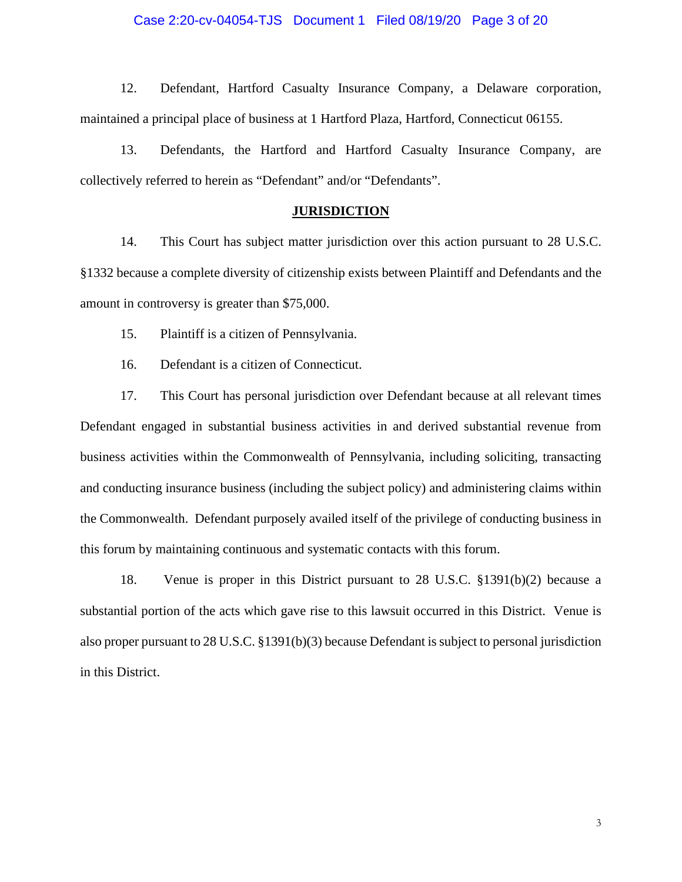#### Case 2:20-cv-04054-TJS Document 1 Filed 08/19/20 Page 3 of 20

12. Defendant, Hartford Casualty Insurance Company, a Delaware corporation, maintained a principal place of business at 1 Hartford Plaza, Hartford, Connecticut 06155.

13. Defendants, the Hartford and Hartford Casualty Insurance Company, are collectively referred to herein as "Defendant" and/or "Defendants".

### **JURISDICTION**

14. This Court has subject matter jurisdiction over this action pursuant to 28 U.S.C. §1332 because a complete diversity of citizenship exists between Plaintiff and Defendants and the amount in controversy is greater than \$75,000.

15. Plaintiff is a citizen of Pennsylvania.

16. Defendant is a citizen of Connecticut.

17. This Court has personal jurisdiction over Defendant because at all relevant times Defendant engaged in substantial business activities in and derived substantial revenue from business activities within the Commonwealth of Pennsylvania, including soliciting, transacting and conducting insurance business (including the subject policy) and administering claims within the Commonwealth. Defendant purposely availed itself of the privilege of conducting business in this forum by maintaining continuous and systematic contacts with this forum.

18. Venue is proper in this District pursuant to 28 U.S.C. §1391(b)(2) because a substantial portion of the acts which gave rise to this lawsuit occurred in this District. Venue is also proper pursuant to 28 U.S.C. §1391(b)(3) because Defendant is subject to personal jurisdiction in this District.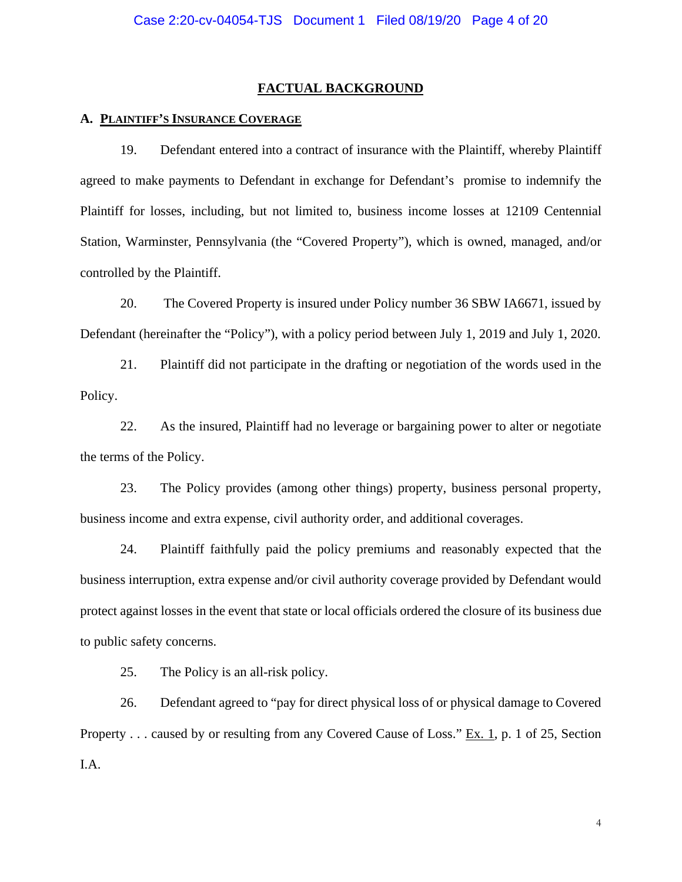### **FACTUAL BACKGROUND**

## **A. PLAINTIFF'S INSURANCE COVERAGE**

19. Defendant entered into a contract of insurance with the Plaintiff, whereby Plaintiff agreed to make payments to Defendant in exchange for Defendant's promise to indemnify the Plaintiff for losses, including, but not limited to, business income losses at 12109 Centennial Station, Warminster, Pennsylvania (the "Covered Property"), which is owned, managed, and/or controlled by the Plaintiff.

20. The Covered Property is insured under Policy number 36 SBW IA6671, issued by Defendant (hereinafter the "Policy"), with a policy period between July 1, 2019 and July 1, 2020.

21. Plaintiff did not participate in the drafting or negotiation of the words used in the Policy.

22. As the insured, Plaintiff had no leverage or bargaining power to alter or negotiate the terms of the Policy.

23. The Policy provides (among other things) property, business personal property, business income and extra expense, civil authority order, and additional coverages.

24. Plaintiff faithfully paid the policy premiums and reasonably expected that the business interruption, extra expense and/or civil authority coverage provided by Defendant would protect against losses in the event that state or local officials ordered the closure of its business due to public safety concerns.

25. The Policy is an all-risk policy.

26. Defendant agreed to "pay for direct physical loss of or physical damage to Covered Property . . . caused by or resulting from any Covered Cause of Loss." Ex. 1, p. 1 of 25, Section I.A.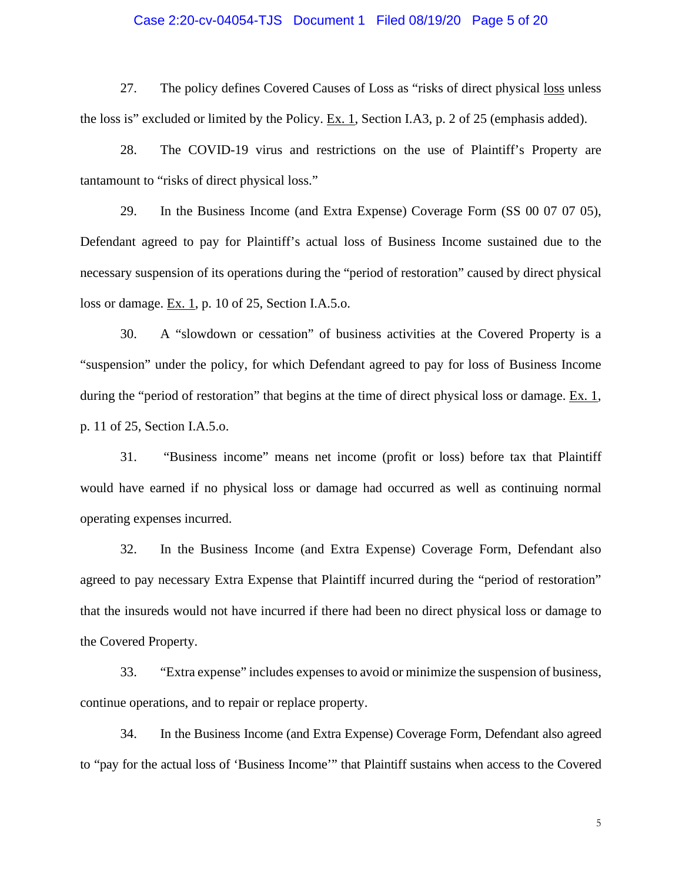### Case 2:20-cv-04054-TJS Document 1 Filed 08/19/20 Page 5 of 20

27. The policy defines Covered Causes of Loss as "risks of direct physical loss unless the loss is" excluded or limited by the Policy. Ex. 1, Section I.A3, p. 2 of 25 (emphasis added).

28. The COVID-19 virus and restrictions on the use of Plaintiff's Property are tantamount to "risks of direct physical loss."

29. In the Business Income (and Extra Expense) Coverage Form (SS 00 07 07 05), Defendant agreed to pay for Plaintiff's actual loss of Business Income sustained due to the necessary suspension of its operations during the "period of restoration" caused by direct physical loss or damage. Ex. 1, p. 10 of 25, Section I.A.5.o.

30. A "slowdown or cessation" of business activities at the Covered Property is a "suspension" under the policy, for which Defendant agreed to pay for loss of Business Income during the "period of restoration" that begins at the time of direct physical loss or damage. Ex. 1, p. 11 of 25, Section I.A.5.o.

31. "Business income" means net income (profit or loss) before tax that Plaintiff would have earned if no physical loss or damage had occurred as well as continuing normal operating expenses incurred.

32. In the Business Income (and Extra Expense) Coverage Form, Defendant also agreed to pay necessary Extra Expense that Plaintiff incurred during the "period of restoration" that the insureds would not have incurred if there had been no direct physical loss or damage to the Covered Property.

33. "Extra expense" includes expenses to avoid or minimize the suspension of business, continue operations, and to repair or replace property.

34. In the Business Income (and Extra Expense) Coverage Form, Defendant also agreed to "pay for the actual loss of 'Business Income'" that Plaintiff sustains when access to the Covered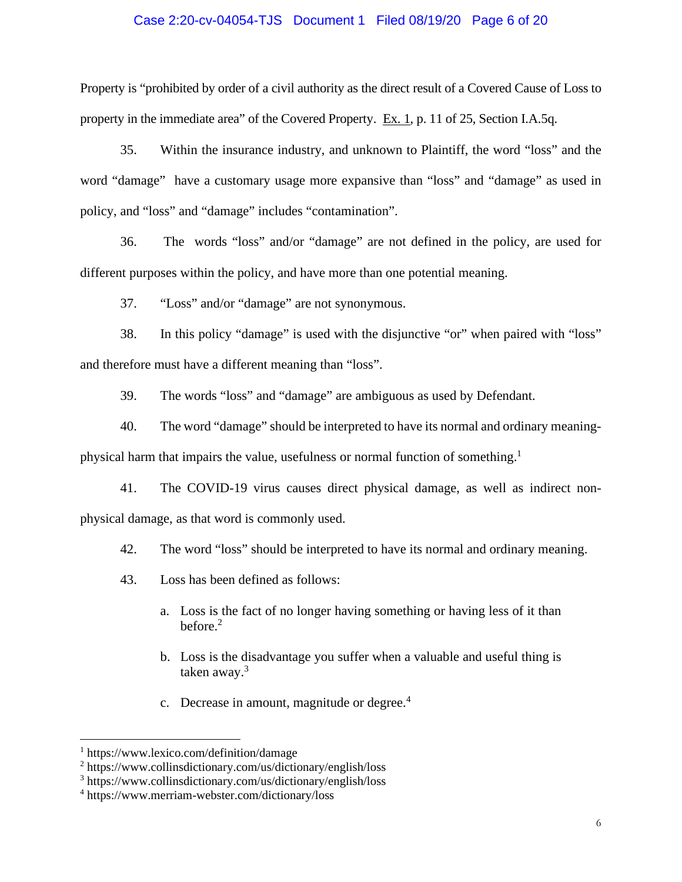## Case 2:20-cv-04054-TJS Document 1 Filed 08/19/20 Page 6 of 20

Property is "prohibited by order of a civil authority as the direct result of a Covered Cause of Loss to property in the immediate area" of the Covered Property. Ex. 1, p. 11 of 25, Section I.A.5q.

35. Within the insurance industry, and unknown to Plaintiff, the word "loss" and the word "damage" have a customary usage more expansive than "loss" and "damage" as used in policy, and "loss" and "damage" includes "contamination".

36. The words "loss" and/or "damage" are not defined in the policy, are used for different purposes within the policy, and have more than one potential meaning.

37. "Loss" and/or "damage" are not synonymous.

38. In this policy "damage" is used with the disjunctive "or" when paired with "loss" and therefore must have a different meaning than "loss".

39. The words "loss" and "damage" are ambiguous as used by Defendant.

40. The word "damage" should be interpreted to have its normal and ordinary meaning-

physical harm that impairs the value, usefulness or normal function of something.<sup>1</sup>

41. The COVID-19 virus causes direct physical damage, as well as indirect nonphysical damage, as that word is commonly used.

42. The word "loss" should be interpreted to have its normal and ordinary meaning.

- 43. Loss has been defined as follows:
	- a. Loss is the fact of no longer having something or having less of it than before. $2$
	- b. Loss is the disadvantage you suffer when a valuable and useful thing is taken away.<sup>3</sup>
	- c. Decrease in amount, magnitude or degree.<sup>4</sup>

<sup>1</sup> https://www.lexico.com/definition/damage

<sup>2</sup> https://www.collinsdictionary.com/us/dictionary/english/loss

<sup>3</sup> https://www.collinsdictionary.com/us/dictionary/english/loss

<sup>4</sup> https://www.merriam-webster.com/dictionary/loss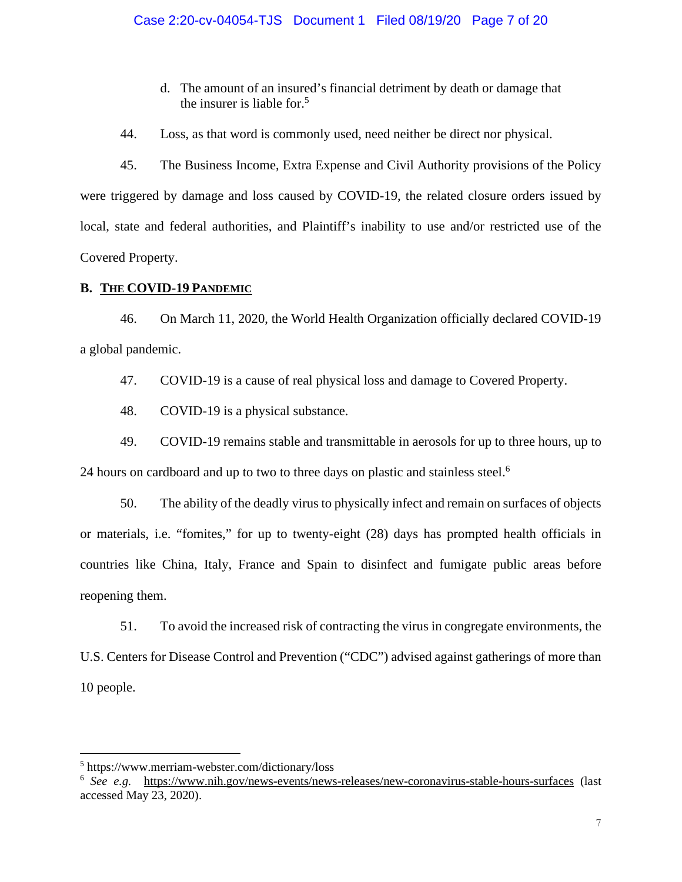- d. The amount of an insured's financial detriment by death or damage that the insurer is liable for.<sup>5</sup>
- 44. Loss, as that word is commonly used, need neither be direct nor physical.

45. The Business Income, Extra Expense and Civil Authority provisions of the Policy were triggered by damage and loss caused by COVID-19, the related closure orders issued by local, state and federal authorities, and Plaintiff's inability to use and/or restricted use of the Covered Property.

# **B. THE COVID-19 PANDEMIC**

46. On March 11, 2020, the World Health Organization officially declared COVID-19 a global pandemic.

47. COVID-19 is a cause of real physical loss and damage to Covered Property.

48. COVID-19 is a physical substance.

49. COVID-19 remains stable and transmittable in aerosols for up to three hours, up to 24 hours on cardboard and up to two to three days on plastic and stainless steel.<sup>6</sup>

50. The ability of the deadly virus to physically infect and remain on surfaces of objects or materials, i.e. "fomites," for up to twenty-eight (28) days has prompted health officials in countries like China, Italy, France and Spain to disinfect and fumigate public areas before reopening them.

51. To avoid the increased risk of contracting the virus in congregate environments, the U.S. Centers for Disease Control and Prevention ("CDC") advised against gatherings of more than 10 people.

<sup>5</sup> https://www.merriam-webster.com/dictionary/loss

<sup>6</sup> *See e.g.* <https://www.nih.gov/news-events/news-releases/new-coronavirus-stable-hours-surfaces>(last accessed May 23, 2020).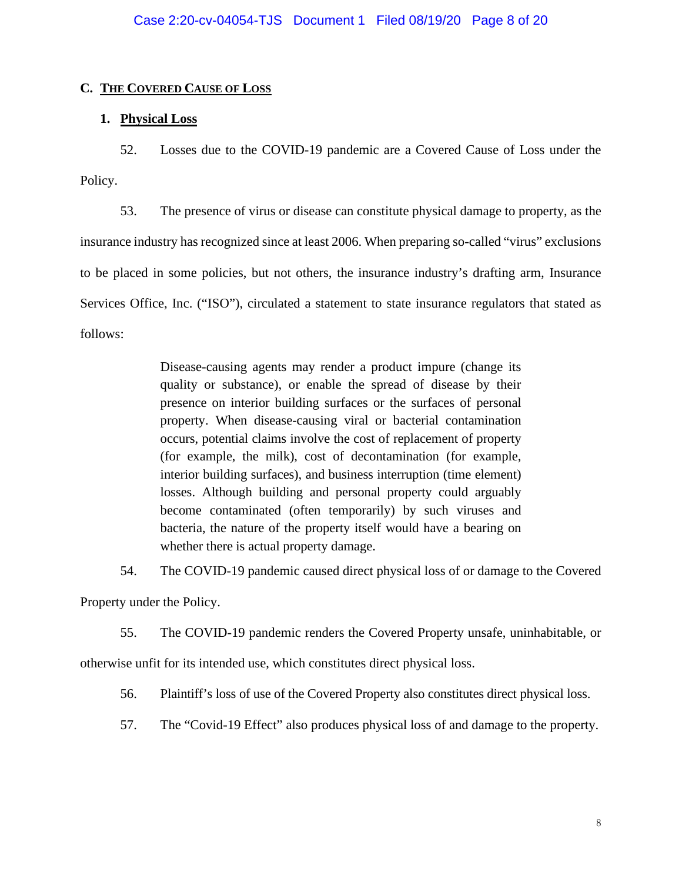# **C. THE COVERED CAUSE OF LOSS**

# **1. Physical Loss**

52. Losses due to the COVID-19 pandemic are a Covered Cause of Loss under the Policy.

53. The presence of virus or disease can constitute physical damage to property, as the insurance industry has recognized since at least 2006. When preparing so-called "virus" exclusions to be placed in some policies, but not others, the insurance industry's drafting arm, Insurance Services Office, Inc. ("ISO"), circulated a statement to state insurance regulators that stated as follows:

> Disease-causing agents may render a product impure (change its quality or substance), or enable the spread of disease by their presence on interior building surfaces or the surfaces of personal property. When disease-causing viral or bacterial contamination occurs, potential claims involve the cost of replacement of property (for example, the milk), cost of decontamination (for example, interior building surfaces), and business interruption (time element) losses. Although building and personal property could arguably become contaminated (often temporarily) by such viruses and bacteria, the nature of the property itself would have a bearing on whether there is actual property damage.

54. The COVID-19 pandemic caused direct physical loss of or damage to the Covered

Property under the Policy.

55. The COVID-19 pandemic renders the Covered Property unsafe, uninhabitable, or

otherwise unfit for its intended use, which constitutes direct physical loss.

56. Plaintiff's loss of use of the Covered Property also constitutes direct physical loss.

57. The "Covid-19 Effect" also produces physical loss of and damage to the property.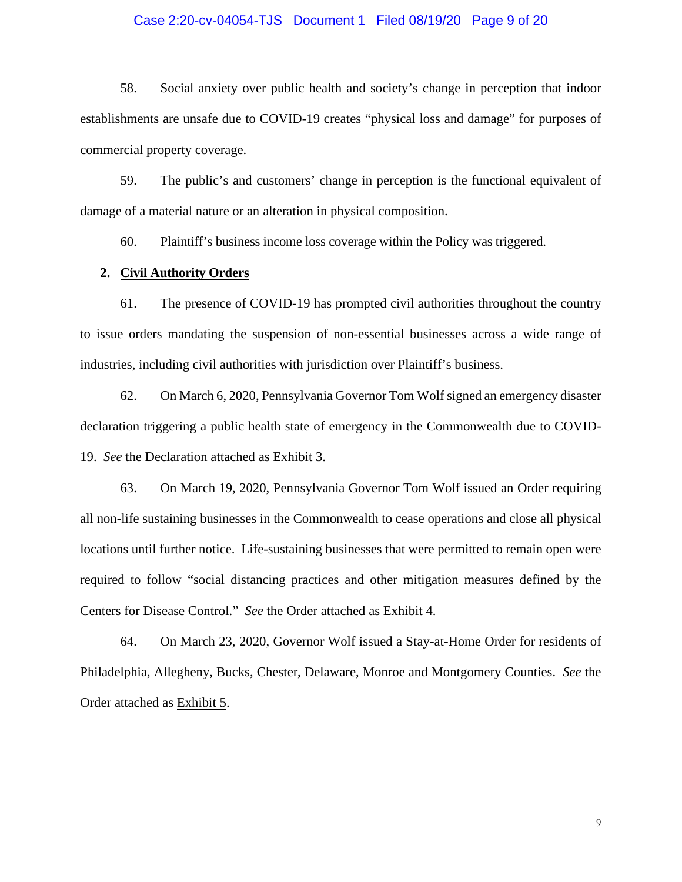## Case 2:20-cv-04054-TJS Document 1 Filed 08/19/20 Page 9 of 20

58. Social anxiety over public health and society's change in perception that indoor establishments are unsafe due to COVID-19 creates "physical loss and damage" for purposes of commercial property coverage.

59. The public's and customers' change in perception is the functional equivalent of damage of a material nature or an alteration in physical composition.

60. Plaintiff's business income loss coverage within the Policy was triggered.

# **2. Civil Authority Orders**

61. The presence of COVID-19 has prompted civil authorities throughout the country to issue orders mandating the suspension of non-essential businesses across a wide range of industries, including civil authorities with jurisdiction over Plaintiff's business.

62. On March 6, 2020, Pennsylvania Governor Tom Wolf signed an emergency disaster declaration triggering a public health state of emergency in the Commonwealth due to COVID-19. *See* the Declaration attached as Exhibit 3.

63. On March 19, 2020, Pennsylvania Governor Tom Wolf issued an Order requiring all non-life sustaining businesses in the Commonwealth to cease operations and close all physical locations until further notice. Life-sustaining businesses that were permitted to remain open were required to follow "social distancing practices and other mitigation measures defined by the Centers for Disease Control." *See* the Order attached as Exhibit 4.

64. On March 23, 2020, Governor Wolf issued a Stay-at-Home Order for residents of Philadelphia, Allegheny, Bucks, Chester, Delaware, Monroe and Montgomery Counties. *See* the Order attached as Exhibit 5.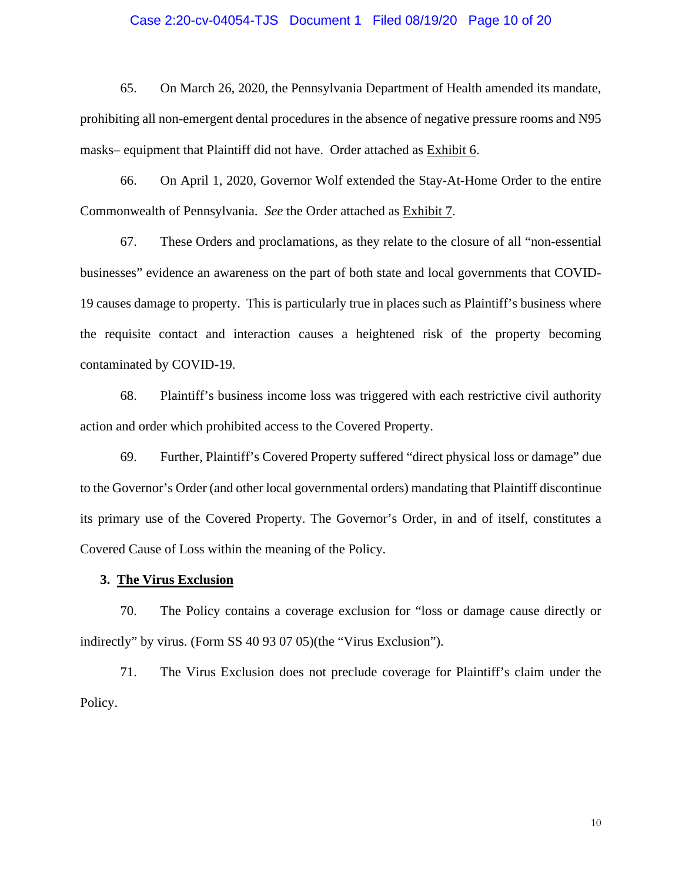### Case 2:20-cv-04054-TJS Document 1 Filed 08/19/20 Page 10 of 20

65. On March 26, 2020, the Pennsylvania Department of Health amended its mandate, prohibiting all non-emergent dental procedures in the absence of negative pressure rooms and N95 masks– equipment that Plaintiff did not have. Order attached as Exhibit 6.

66. On April 1, 2020, Governor Wolf extended the Stay-At-Home Order to the entire Commonwealth of Pennsylvania. *See* the Order attached as Exhibit 7.

67. These Orders and proclamations, as they relate to the closure of all "non-essential businesses" evidence an awareness on the part of both state and local governments that COVID-19 causes damage to property. This is particularly true in places such as Plaintiff's business where the requisite contact and interaction causes a heightened risk of the property becoming contaminated by COVID-19.

68. Plaintiff's business income loss was triggered with each restrictive civil authority action and order which prohibited access to the Covered Property.

69. Further, Plaintiff's Covered Property suffered "direct physical loss or damage" due to the Governor's Order (and other local governmental orders) mandating that Plaintiff discontinue its primary use of the Covered Property. The Governor's Order, in and of itself, constitutes a Covered Cause of Loss within the meaning of the Policy.

#### **3. The Virus Exclusion**

70. The Policy contains a coverage exclusion for "loss or damage cause directly or indirectly" by virus. (Form SS 40 93 07 05)(the "Virus Exclusion").

71. The Virus Exclusion does not preclude coverage for Plaintiff's claim under the Policy.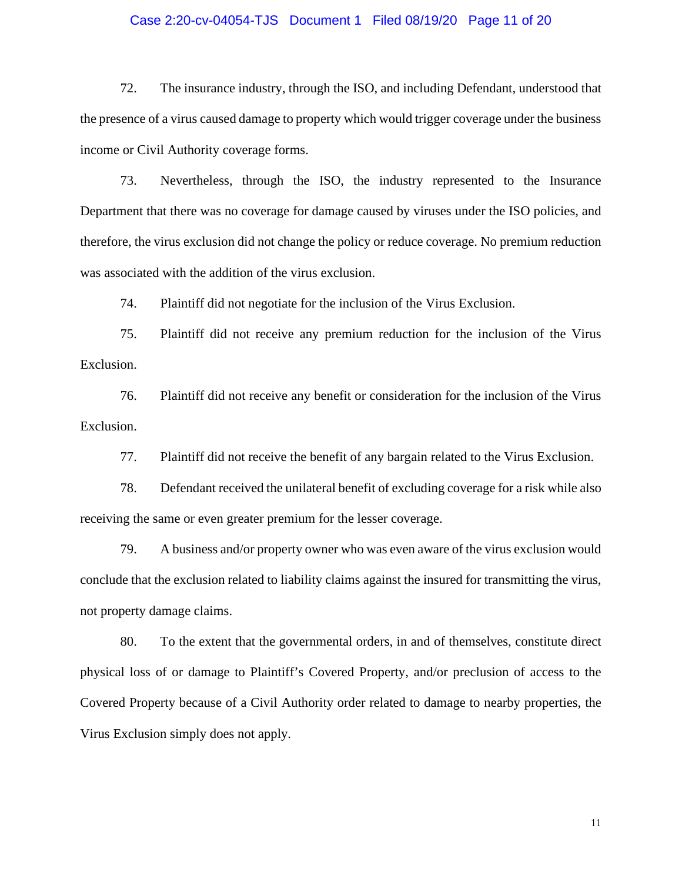## Case 2:20-cv-04054-TJS Document 1 Filed 08/19/20 Page 11 of 20

72. The insurance industry, through the ISO, and including Defendant, understood that the presence of a virus caused damage to property which would trigger coverage under the business income or Civil Authority coverage forms.

73. Nevertheless, through the ISO, the industry represented to the Insurance Department that there was no coverage for damage caused by viruses under the ISO policies, and therefore, the virus exclusion did not change the policy or reduce coverage. No premium reduction was associated with the addition of the virus exclusion.

74. Plaintiff did not negotiate for the inclusion of the Virus Exclusion.

75. Plaintiff did not receive any premium reduction for the inclusion of the Virus Exclusion.

76. Plaintiff did not receive any benefit or consideration for the inclusion of the Virus Exclusion.

77. Plaintiff did not receive the benefit of any bargain related to the Virus Exclusion.

78. Defendant received the unilateral benefit of excluding coverage for a risk while also receiving the same or even greater premium for the lesser coverage.

79. A business and/or property owner who was even aware of the virus exclusion would conclude that the exclusion related to liability claims against the insured for transmitting the virus, not property damage claims.

80. To the extent that the governmental orders, in and of themselves, constitute direct physical loss of or damage to Plaintiff's Covered Property, and/or preclusion of access to the Covered Property because of a Civil Authority order related to damage to nearby properties, the Virus Exclusion simply does not apply.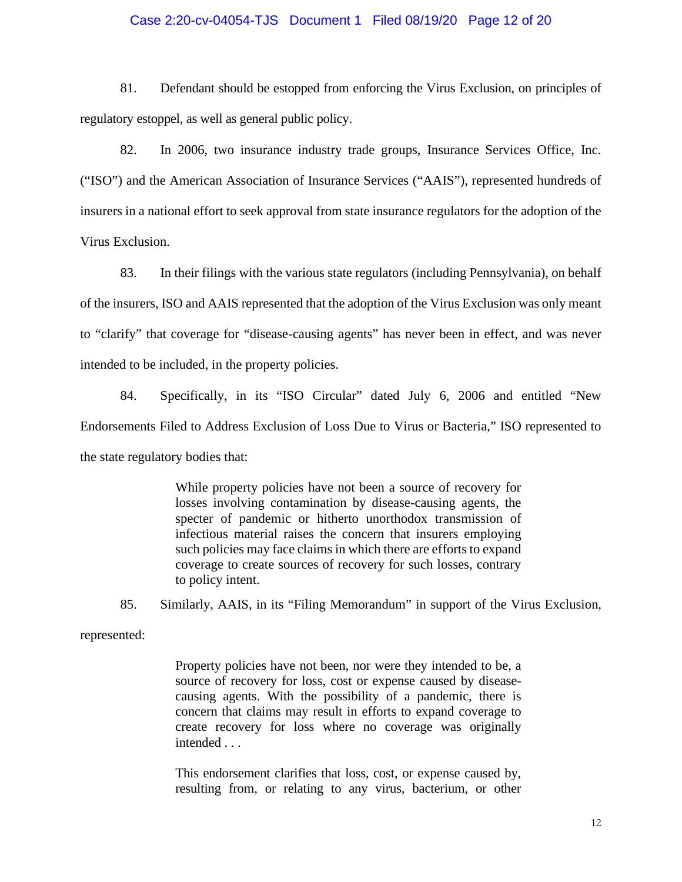## Case 2:20-cv-04054-TJS Document 1 Filed 08/19/20 Page 12 of 20

81. Defendant should be estopped from enforcing the Virus Exclusion, on principles of regulatory estoppel, as well as general public policy.

82. In 2006, two insurance industry trade groups, Insurance Services Office, Inc. ("ISO") and the American Association of Insurance Services ("AAIS"), represented hundreds of insurers in a national effort to seek approval from state insurance regulators for the adoption of the Virus Exclusion.

83. In their filings with the various state regulators (including Pennsylvania), on behalf of the insurers, ISO and AAIS represented that the adoption of the Virus Exclusion was only meant to "clarify" that coverage for "disease-causing agents" has never been in effect, and was never intended to be included, in the property policies.

84. Specifically, in its "ISO Circular" dated July 6, 2006 and entitled "New Endorsements Filed to Address Exclusion of Loss Due to Virus or Bacteria," ISO represented to the state regulatory bodies that:

> While property policies have not been a source of recovery for losses involving contamination by disease-causing agents, the specter of pandemic or hitherto unorthodox transmission of infectious material raises the concern that insurers employing such policies may face claims in which there are efforts to expand coverage to create sources of recovery for such losses, contrary to policy intent.

85. Similarly, AAIS, in its "Filing Memorandum" in support of the Virus Exclusion,

represented:

Property policies have not been, nor were they intended to be, a source of recovery for loss, cost or expense caused by diseasecausing agents. With the possibility of a pandemic, there is concern that claims may result in efforts to expand coverage to create recovery for loss where no coverage was originally intended . . .

This endorsement clarifies that loss, cost, or expense caused by, resulting from, or relating to any virus, bacterium, or other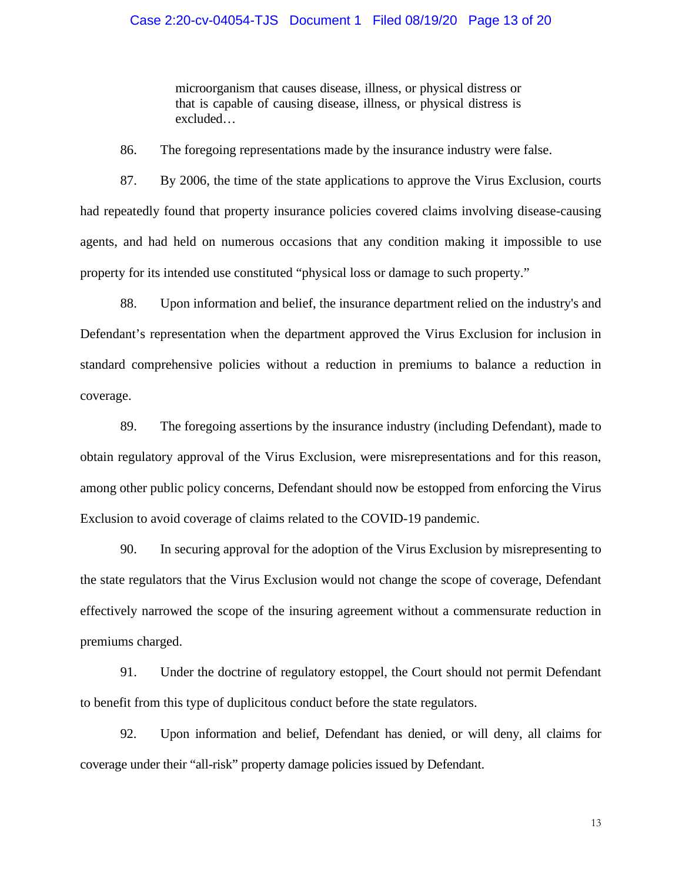# Case 2:20-cv-04054-TJS Document 1 Filed 08/19/20 Page 13 of 20

microorganism that causes disease, illness, or physical distress or that is capable of causing disease, illness, or physical distress is excluded…

86. The foregoing representations made by the insurance industry were false.

87. By 2006, the time of the state applications to approve the Virus Exclusion, courts had repeatedly found that property insurance policies covered claims involving disease-causing agents, and had held on numerous occasions that any condition making it impossible to use property for its intended use constituted "physical loss or damage to such property."

88. Upon information and belief, the insurance department relied on the industry's and Defendant's representation when the department approved the Virus Exclusion for inclusion in standard comprehensive policies without a reduction in premiums to balance a reduction in coverage.

89. The foregoing assertions by the insurance industry (including Defendant), made to obtain regulatory approval of the Virus Exclusion, were misrepresentations and for this reason, among other public policy concerns, Defendant should now be estopped from enforcing the Virus Exclusion to avoid coverage of claims related to the COVID-19 pandemic.

90. In securing approval for the adoption of the Virus Exclusion by misrepresenting to the state regulators that the Virus Exclusion would not change the scope of coverage, Defendant effectively narrowed the scope of the insuring agreement without a commensurate reduction in premiums charged.

91. Under the doctrine of regulatory estoppel, the Court should not permit Defendant to benefit from this type of duplicitous conduct before the state regulators.

92. Upon information and belief, Defendant has denied, or will deny, all claims for coverage under their "all-risk" property damage policies issued by Defendant.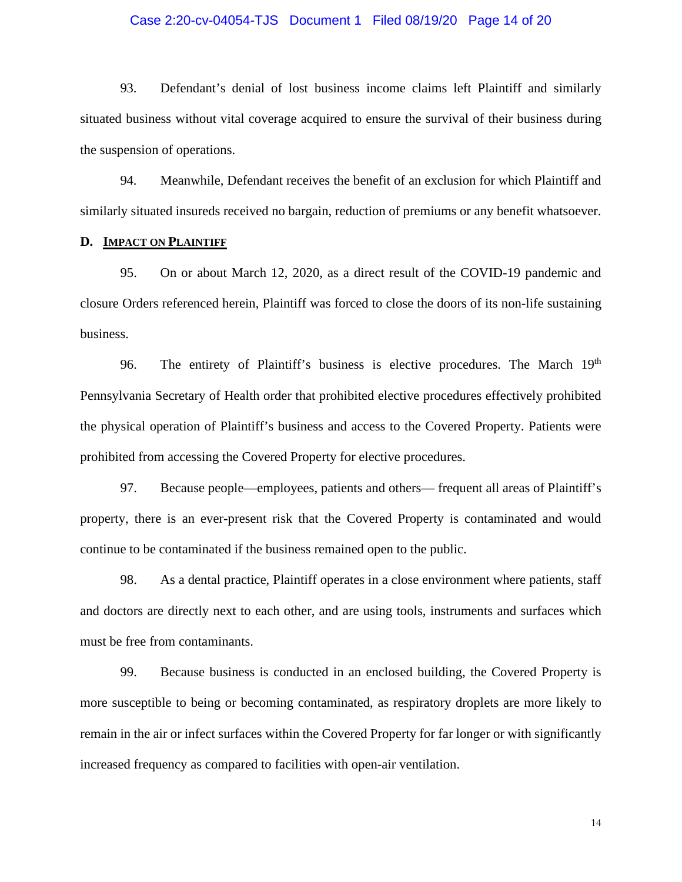## Case 2:20-cv-04054-TJS Document 1 Filed 08/19/20 Page 14 of 20

93. Defendant's denial of lost business income claims left Plaintiff and similarly situated business without vital coverage acquired to ensure the survival of their business during the suspension of operations.

94. Meanwhile, Defendant receives the benefit of an exclusion for which Plaintiff and similarly situated insureds received no bargain, reduction of premiums or any benefit whatsoever.

# **D. IMPACT ON PLAINTIFF**

95. On or about March 12, 2020, as a direct result of the COVID-19 pandemic and closure Orders referenced herein, Plaintiff was forced to close the doors of its non-life sustaining business.

96. The entirety of Plaintiff's business is elective procedures. The March  $19<sup>th</sup>$ Pennsylvania Secretary of Health order that prohibited elective procedures effectively prohibited the physical operation of Plaintiff's business and access to the Covered Property. Patients were prohibited from accessing the Covered Property for elective procedures.

97. Because people—employees, patients and others— frequent all areas of Plaintiff's property, there is an ever-present risk that the Covered Property is contaminated and would continue to be contaminated if the business remained open to the public.

98. As a dental practice, Plaintiff operates in a close environment where patients, staff and doctors are directly next to each other, and are using tools, instruments and surfaces which must be free from contaminants.

99. Because business is conducted in an enclosed building, the Covered Property is more susceptible to being or becoming contaminated, as respiratory droplets are more likely to remain in the air or infect surfaces within the Covered Property for far longer or with significantly increased frequency as compared to facilities with open-air ventilation.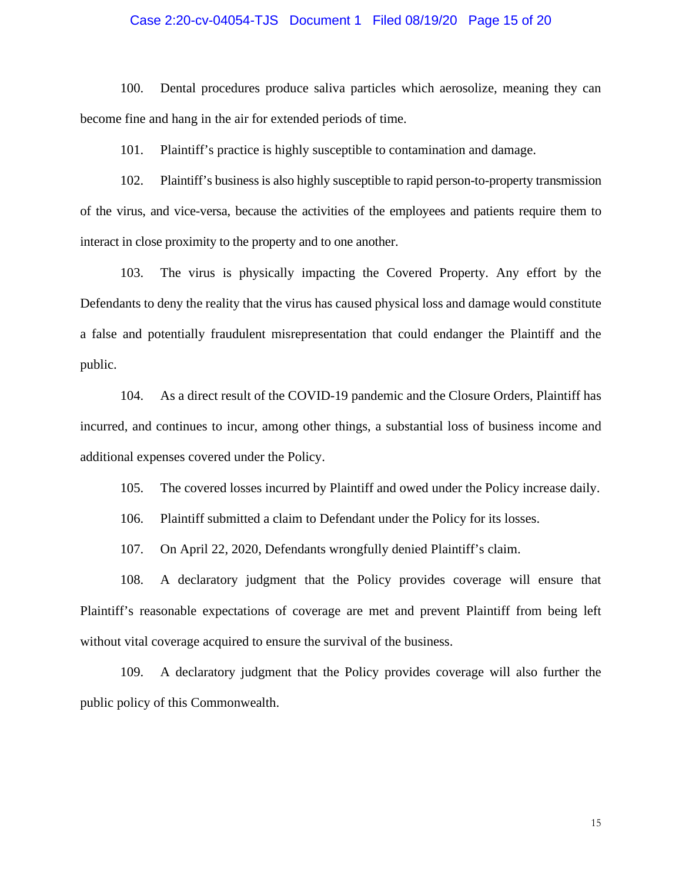## Case 2:20-cv-04054-TJS Document 1 Filed 08/19/20 Page 15 of 20

100. Dental procedures produce saliva particles which aerosolize, meaning they can become fine and hang in the air for extended periods of time.

101. Plaintiff's practice is highly susceptible to contamination and damage.

102. Plaintiff's business is also highly susceptible to rapid person-to-property transmission of the virus, and vice-versa, because the activities of the employees and patients require them to interact in close proximity to the property and to one another.

103. The virus is physically impacting the Covered Property. Any effort by the Defendants to deny the reality that the virus has caused physical loss and damage would constitute a false and potentially fraudulent misrepresentation that could endanger the Plaintiff and the public.

104. As a direct result of the COVID-19 pandemic and the Closure Orders, Plaintiff has incurred, and continues to incur, among other things, a substantial loss of business income and additional expenses covered under the Policy.

105. The covered losses incurred by Plaintiff and owed under the Policy increase daily.

106. Plaintiff submitted a claim to Defendant under the Policy for its losses.

107. On April 22, 2020, Defendants wrongfully denied Plaintiff's claim.

108. A declaratory judgment that the Policy provides coverage will ensure that Plaintiff's reasonable expectations of coverage are met and prevent Plaintiff from being left without vital coverage acquired to ensure the survival of the business.

109. A declaratory judgment that the Policy provides coverage will also further the public policy of this Commonwealth.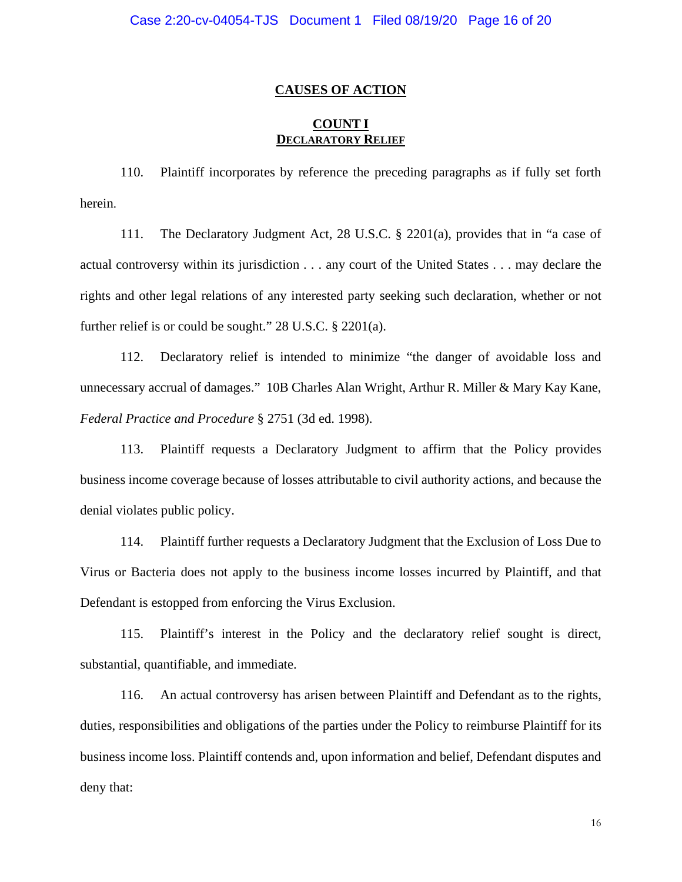## **CAUSES OF ACTION**

# **COUNT I DECLARATORY RELIEF**

110. Plaintiff incorporates by reference the preceding paragraphs as if fully set forth herein.

111. The Declaratory Judgment Act, 28 U.S.C. § 2201(a), provides that in "a case of actual controversy within its jurisdiction . . . any court of the United States . . . may declare the rights and other legal relations of any interested party seeking such declaration, whether or not further relief is or could be sought." 28 U.S.C. § 2201(a).

112. Declaratory relief is intended to minimize "the danger of avoidable loss and unnecessary accrual of damages." 10B Charles Alan Wright, Arthur R. Miller & Mary Kay Kane, *Federal Practice and Procedure* § 2751 (3d ed. 1998).

113. Plaintiff requests a Declaratory Judgment to affirm that the Policy provides business income coverage because of losses attributable to civil authority actions, and because the denial violates public policy.

114. Plaintiff further requests a Declaratory Judgment that the Exclusion of Loss Due to Virus or Bacteria does not apply to the business income losses incurred by Plaintiff, and that Defendant is estopped from enforcing the Virus Exclusion.

115. Plaintiff's interest in the Policy and the declaratory relief sought is direct, substantial, quantifiable, and immediate.

116. An actual controversy has arisen between Plaintiff and Defendant as to the rights, duties, responsibilities and obligations of the parties under the Policy to reimburse Plaintiff for its business income loss. Plaintiff contends and, upon information and belief, Defendant disputes and deny that: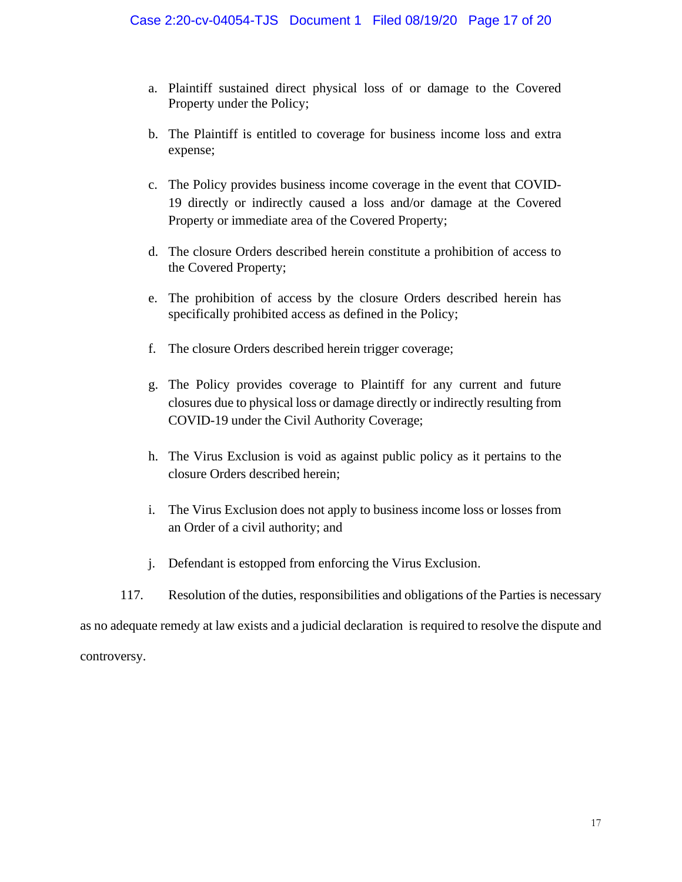- a. Plaintiff sustained direct physical loss of or damage to the Covered Property under the Policy;
- b. The Plaintiff is entitled to coverage for business income loss and extra expense;
- c. The Policy provides business income coverage in the event that COVID-19 directly or indirectly caused a loss and/or damage at the Covered Property or immediate area of the Covered Property;
- d. The closure Orders described herein constitute a prohibition of access to the Covered Property;
- e. The prohibition of access by the closure Orders described herein has specifically prohibited access as defined in the Policy;
- f. The closure Orders described herein trigger coverage;
- g. The Policy provides coverage to Plaintiff for any current and future closures due to physical loss or damage directly or indirectly resulting from COVID-19 under the Civil Authority Coverage;
- h. The Virus Exclusion is void as against public policy as it pertains to the closure Orders described herein;
- i. The Virus Exclusion does not apply to business income loss or losses from an Order of a civil authority; and
- j. Defendant is estopped from enforcing the Virus Exclusion.
- 117. Resolution of the duties, responsibilities and obligations of the Parties is necessary

as no adequate remedy at law exists and a judicial declaration is required to resolve the dispute and

controversy.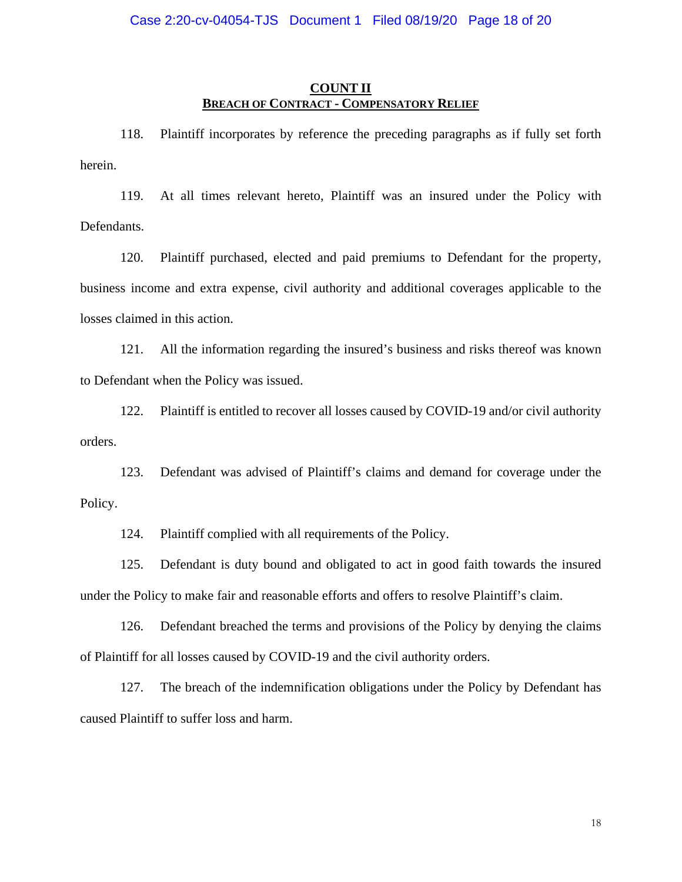# **COUNT II BREACH OF CONTRACT - COMPENSATORY RELIEF**

118. Plaintiff incorporates by reference the preceding paragraphs as if fully set forth herein.

119. At all times relevant hereto, Plaintiff was an insured under the Policy with Defendants.

120. Plaintiff purchased, elected and paid premiums to Defendant for the property, business income and extra expense, civil authority and additional coverages applicable to the losses claimed in this action.

121. All the information regarding the insured's business and risks thereof was known to Defendant when the Policy was issued.

122. Plaintiff is entitled to recover all losses caused by COVID-19 and/or civil authority orders.

123. Defendant was advised of Plaintiff's claims and demand for coverage under the Policy.

124. Plaintiff complied with all requirements of the Policy.

125. Defendant is duty bound and obligated to act in good faith towards the insured under the Policy to make fair and reasonable efforts and offers to resolve Plaintiff's claim.

126. Defendant breached the terms and provisions of the Policy by denying the claims of Plaintiff for all losses caused by COVID-19 and the civil authority orders.

127. The breach of the indemnification obligations under the Policy by Defendant has caused Plaintiff to suffer loss and harm.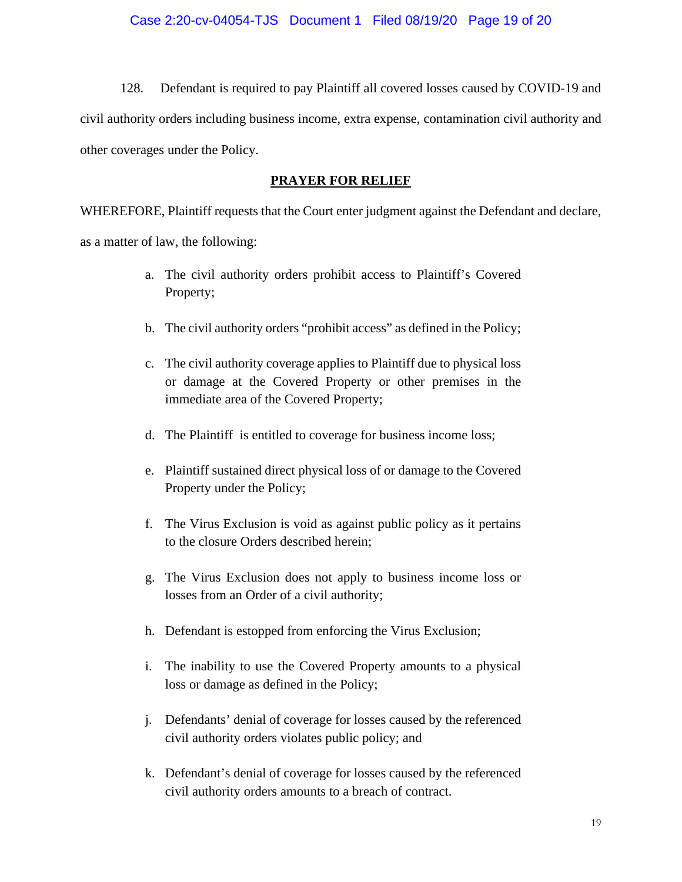128. Defendant is required to pay Plaintiff all covered losses caused by COVID-19 and civil authority orders including business income, extra expense, contamination civil authority and other coverages under the Policy.

# **PRAYER FOR RELIEF**

WHEREFORE, Plaintiff requests that the Court enter judgment against the Defendant and declare,

as a matter of law, the following:

- a. The civil authority orders prohibit access to Plaintiff's Covered Property;
- b. The civil authority orders "prohibit access" as defined in the Policy;
- c. The civil authority coverage applies to Plaintiff due to physical loss or damage at the Covered Property or other premises in the immediate area of the Covered Property;
- d. The Plaintiff is entitled to coverage for business income loss;
- e. Plaintiff sustained direct physical loss of or damage to the Covered Property under the Policy;
- f. The Virus Exclusion is void as against public policy as it pertains to the closure Orders described herein;
- g. The Virus Exclusion does not apply to business income loss or losses from an Order of a civil authority;
- h. Defendant is estopped from enforcing the Virus Exclusion;
- i. The inability to use the Covered Property amounts to a physical loss or damage as defined in the Policy;
- j. Defendants' denial of coverage for losses caused by the referenced civil authority orders violates public policy; and
- k. Defendant's denial of coverage for losses caused by the referenced civil authority orders amounts to a breach of contract.